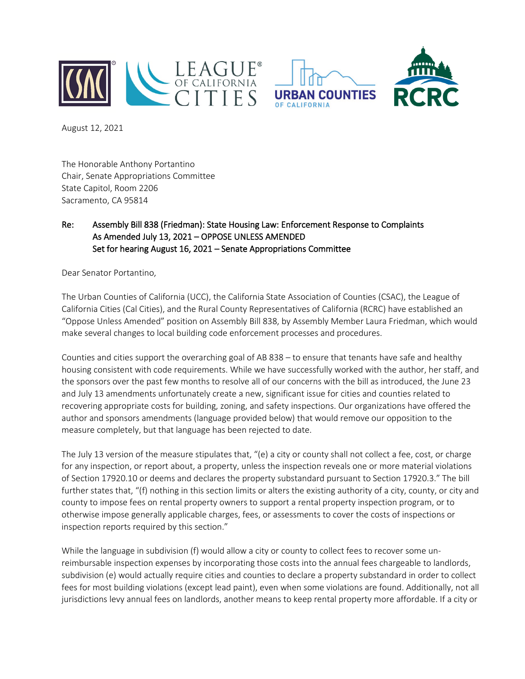



August 12, 2021

The Honorable Anthony Portantino Chair, Senate Appropriations Committee State Capitol, Room 2206 Sacramento, CA 95814

## Re: Assembly Bill 838 (Friedman): State Housing Law: Enforcement Response to Complaints As Amended July 13, 2021 – OPPOSE UNLESS AMENDED Set for hearing August 16, 2021 – Senate Appropriations Committee

Dear Senator Portantino,

The Urban Counties of California (UCC), the California State Association of Counties (CSAC), the League of California Cities (Cal Cities), and the Rural County Representatives of California (RCRC) have established an "Oppose Unless Amended" position on Assembly Bill 838, by Assembly Member Laura Friedman, which would make several changes to local building code enforcement processes and procedures.

Counties and cities support the overarching goal of AB 838 – to ensure that tenants have safe and healthy housing consistent with code requirements. While we have successfully worked with the author, her staff, and the sponsors over the past few months to resolve all of our concerns with the bill as introduced, the June 23 and July 13 amendments unfortunately create a new, significant issue for cities and counties related to recovering appropriate costs for building, zoning, and safety inspections. Our organizations have offered the author and sponsors amendments (language provided below) that would remove our opposition to the measure completely, but that language has been rejected to date.

The July 13 version of the measure stipulates that, "(e) a city or county shall not collect a fee, cost, or charge for any inspection, or report about, a property, unless the inspection reveals one or more material violations of Section 17920.10 or deems and declares the property substandard pursuant to Section 17920.3." The bill further states that, "(f) nothing in this section limits or alters the existing authority of a city, county, or city and county to impose fees on rental property owners to support a rental property inspection program, or to otherwise impose generally applicable charges, fees, or assessments to cover the costs of inspections or inspection reports required by this section."

While the language in subdivision (f) would allow a city or county to collect fees to recover some unreimbursable inspection expenses by incorporating those costs into the annual fees chargeable to landlords, subdivision (e) would actually require cities and counties to declare a property substandard in order to collect fees for most building violations (except lead paint), even when some violations are found. Additionally, not all jurisdictions levy annual fees on landlords, another means to keep rental property more affordable. If a city or